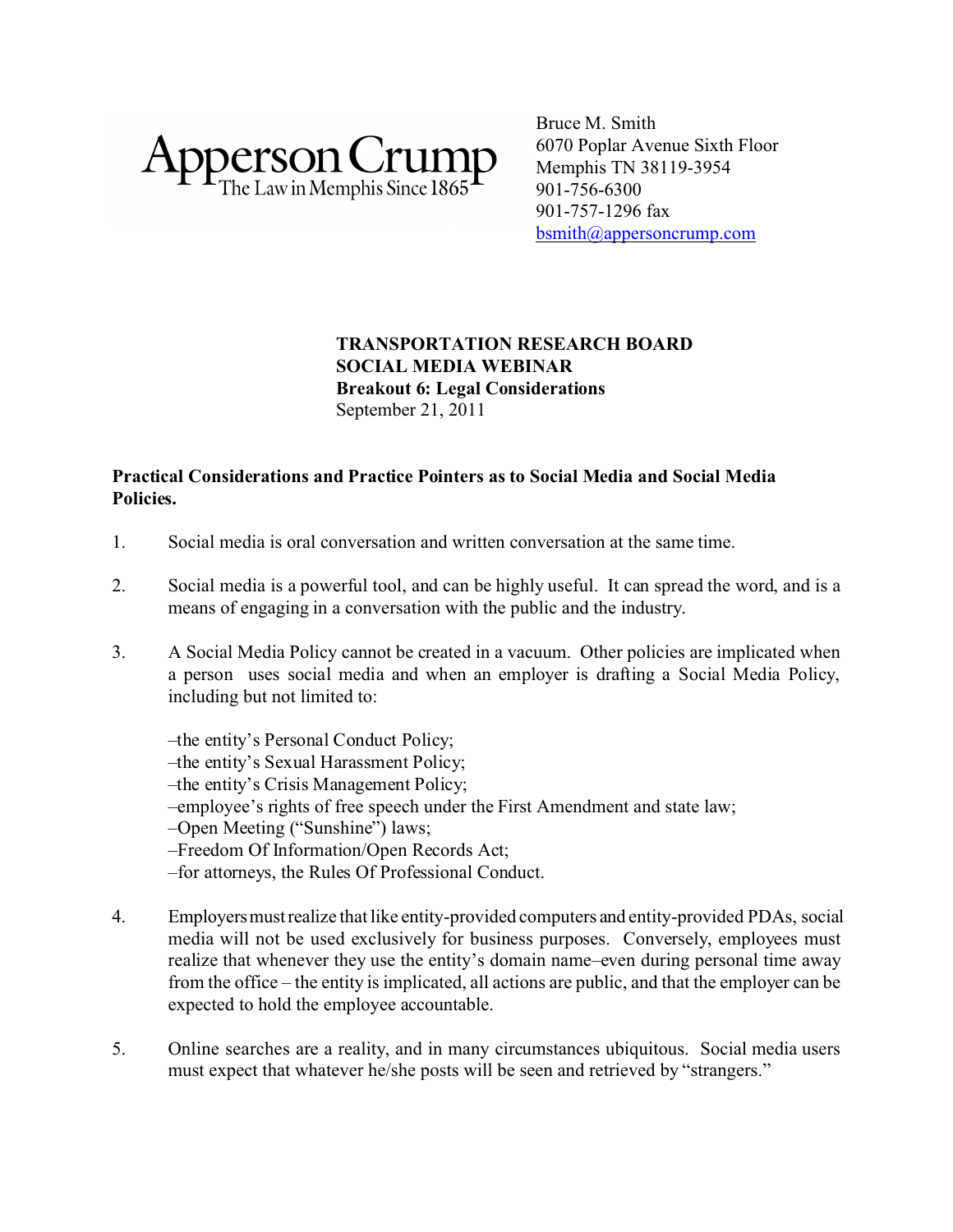

Bruce M. Smith 6070 Poplar Avenue Sixth Floor Memphis TN 38119-3954 901-756-6300 901-757-1296 fax [bsmith@appersoncrump.com](mailto:bsmith@appersoncrump.com)

# **TRANSPORTATION RESEARCH BOARD SOCIAL MEDIA WEBINAR Breakout 6: Legal Considerations** September 21, 2011

# **Practical Considerations and Practice Pointers as to Social Media and Social Media Policies.**

- 1. Social media is oral conversation and written conversation at the same time.
- 2. Social media is a powerful tool, and can be highly useful. It can spread the word, and is a means of engaging in a conversation with the public and the industry.
- 3. A Social Media Policy cannot be created in a vacuum. Other policies are implicated when a person uses social media and when an employer is drafting a Social Media Policy, including but not limited to:
	- –the entity's Personal Conduct Policy;
	- –the entity's Sexual Harassment Policy;
	- –the entity's Crisis Management Policy;
	- –employee's rights of free speech under the First Amendment and state law;
	- –Open Meeting ("Sunshine") laws;
	- –Freedom Of Information/Open Records Act;
	- –for attorneys, the Rules Of Professional Conduct.
- 4. Employersmustrealize that like entity-provided computers and entity-provided PDAs, social media will not be used exclusively for business purposes. Conversely, employees must realize that whenever they use the entity's domain name–even during personal time away from the office – the entity is implicated, all actions are public, and that the employer can be expected to hold the employee accountable.
- 5. Online searches are a reality, and in many circumstances ubiquitous. Social media users must expect that whatever he/she posts will be seen and retrieved by "strangers."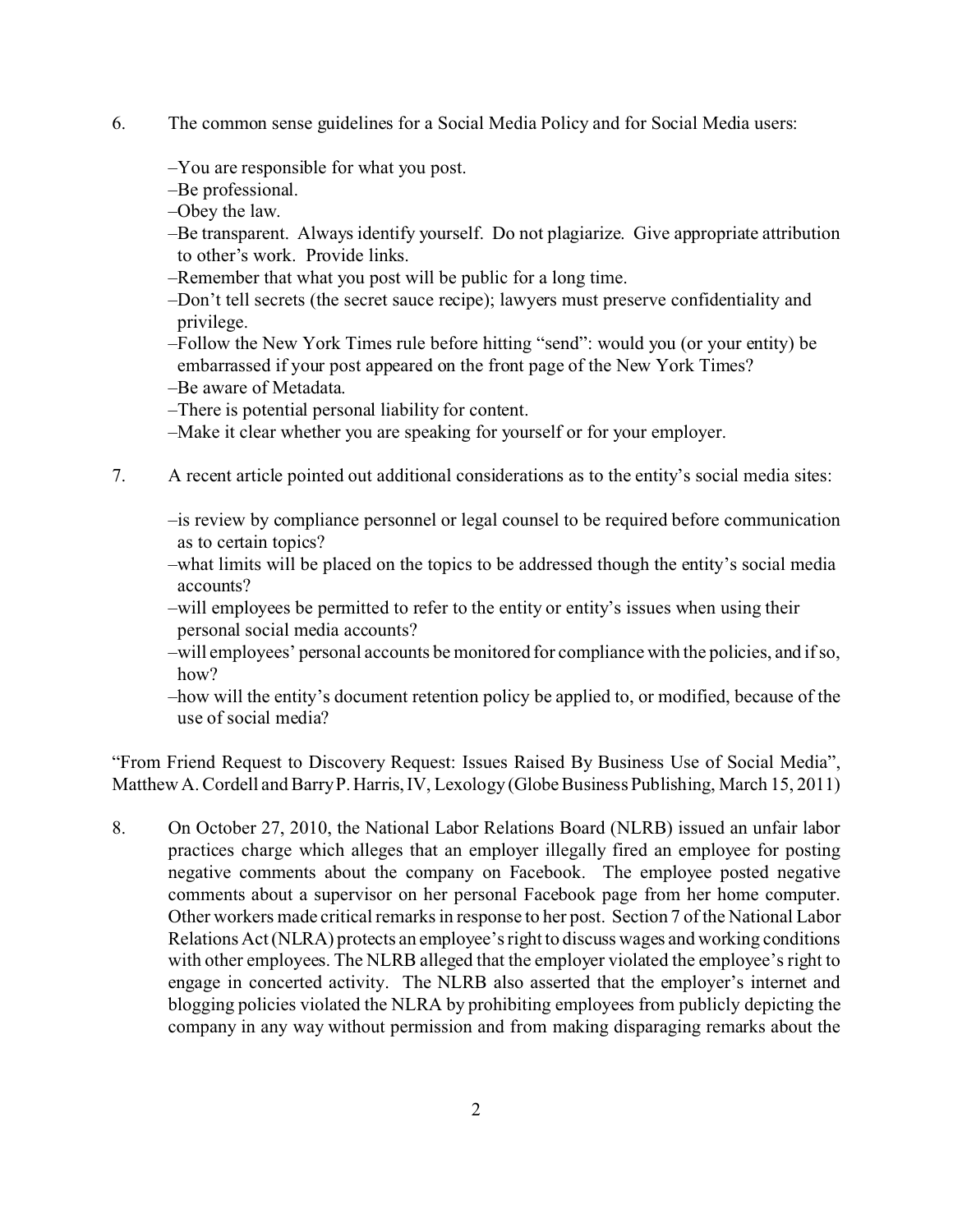- 6. The common sense guidelines for a Social Media Policy and for Social Media users:
	- –You are responsible for what you post.
	- –Be professional.
	- –Obey the law.
	- –Be transparent. Always identify yourself. Do not plagiarize. Give appropriate attribution to other's work. Provide links.
	- –Remember that what you post will be public for a long time.
	- –Don't tell secrets (the secret sauce recipe); lawyers must preserve confidentiality and privilege.
	- –Follow the New York Times rule before hitting "send": would you (or your entity) be embarrassed if your post appeared on the front page of the New York Times?
	- –Be aware of Metadata.
	- –There is potential personal liability for content.
	- –Make it clear whether you are speaking for yourself or for your employer.
- 7. A recent article pointed out additional considerations as to the entity's social media sites:
	- –is review by compliance personnel or legal counsel to be required before communication as to certain topics?
	- –what limits will be placed on the topics to be addressed though the entity's social media accounts?
	- –will employees be permitted to refer to the entity or entity's issues when using their personal social media accounts?
	- –will employees' personal accounts be monitored for compliance with the policies, and if so, how?
	- –how will the entity's document retention policy be applied to, or modified, because of the use of social media?

"From Friend Request to Discovery Request: Issues Raised By Business Use of Social Media", Matthew A. Cordell and Barry P. Harris, IV, Lexology (Globe Business Publishing, March 15, 2011)

8. On October 27, 2010, the National Labor Relations Board (NLRB) issued an unfair labor practices charge which alleges that an employer illegally fired an employee for posting negative comments about the company on Facebook. The employee posted negative comments about a supervisor on her personal Facebook page from her home computer. Other workers made critical remarks in response to her post. Section 7 of the National Labor Relations Act (NLRA) protects an employee's right to discuss wages and working conditions with other employees. The NLRB alleged that the employer violated the employee's right to engage in concerted activity. The NLRB also asserted that the employer's internet and blogging policies violated the NLRA by prohibiting employees from publicly depicting the company in any way without permission and from making disparaging remarks about the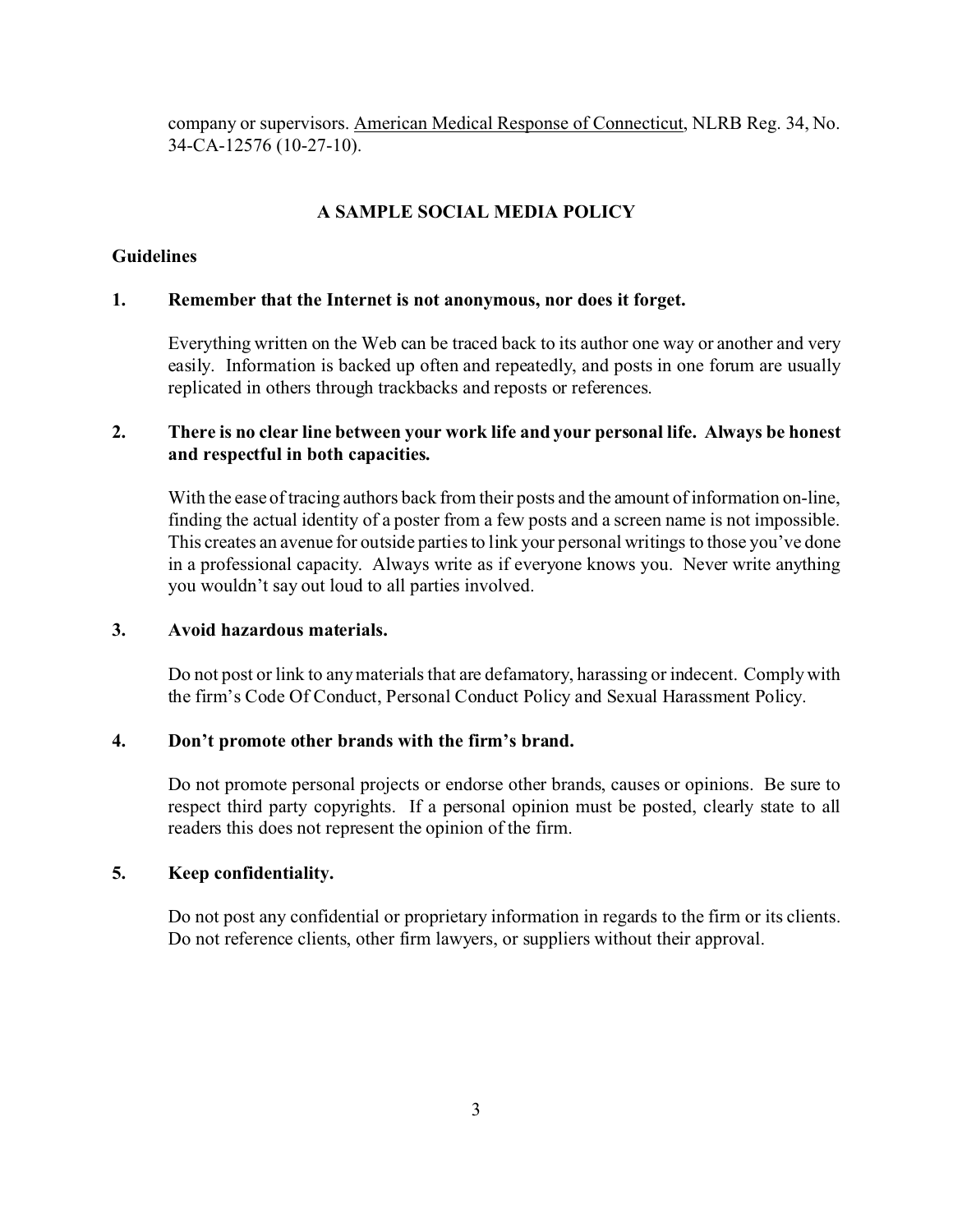company or supervisors. American Medical Response of Connecticut, NLRB Reg. 34, No. 34-CA-12576 (10-27-10).

## **A SAMPLE SOCIAL MEDIA POLICY**

## **Guidelines**

## **1. Remember that the Internet is not anonymous, nor does it forget.**

Everything written on the Web can be traced back to its author one way or another and very easily. Information is backed up often and repeatedly, and posts in one forum are usually replicated in others through trackbacks and reposts or references.

## **2. There is no clear line between your work life and your personal life. Always be honest and respectful in both capacities.**

With the ease of tracing authors back from their posts and the amount of information on-line, finding the actual identity of a poster from a few posts and a screen name is not impossible. This creates an avenue for outside parties to link your personal writings to those you've done in a professional capacity. Always write as if everyone knows you. Never write anything you wouldn't say out loud to all parties involved.

### **3. Avoid hazardous materials.**

Do not post or link to any materials that are defamatory, harassing or indecent. Comply with the firm's Code Of Conduct, Personal Conduct Policy and Sexual Harassment Policy.

### **4. Don't promote other brands with the firm's brand.**

Do not promote personal projects or endorse other brands, causes or opinions. Be sure to respect third party copyrights. If a personal opinion must be posted, clearly state to all readers this does not represent the opinion of the firm.

### **5. Keep confidentiality.**

Do not post any confidential or proprietary information in regards to the firm or its clients. Do not reference clients, other firm lawyers, or suppliers without their approval.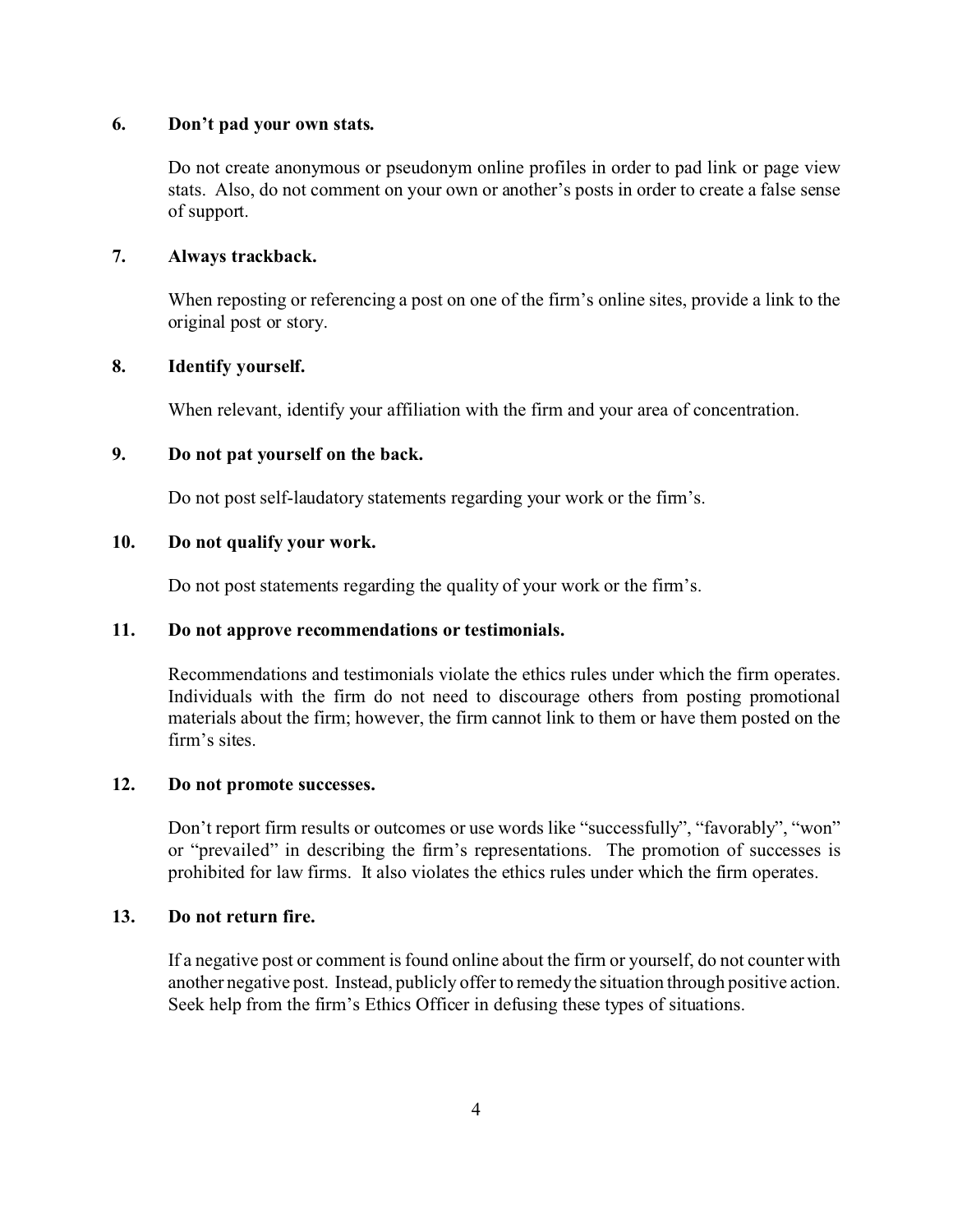#### **6. Don't pad your own stats.**

Do not create anonymous or pseudonym online profiles in order to pad link or page view stats. Also, do not comment on your own or another's posts in order to create a false sense of support.

#### **7. Always trackback.**

When reposting or referencing a post on one of the firm's online sites, provide a link to the original post or story.

#### **8. Identify yourself.**

When relevant, identify your affiliation with the firm and your area of concentration.

#### **9. Do not pat yourself on the back.**

Do not post self-laudatory statements regarding your work or the firm's.

#### **10. Do not qualify your work.**

Do not post statements regarding the quality of your work or the firm's.

#### **11. Do not approve recommendations or testimonials.**

Recommendations and testimonials violate the ethics rules under which the firm operates. Individuals with the firm do not need to discourage others from posting promotional materials about the firm; however, the firm cannot link to them or have them posted on the firm's sites.

### **12. Do not promote successes.**

Don't report firm results or outcomes or use words like "successfully", "favorably", "won" or "prevailed" in describing the firm's representations. The promotion of successes is prohibited for law firms. It also violates the ethics rules under which the firm operates.

### **13. Do not return fire.**

If a negative post or comment is found online about the firm or yourself, do not counter with another negative post. Instead, publicly offer to remedy the situation through positive action. Seek help from the firm's Ethics Officer in defusing these types of situations.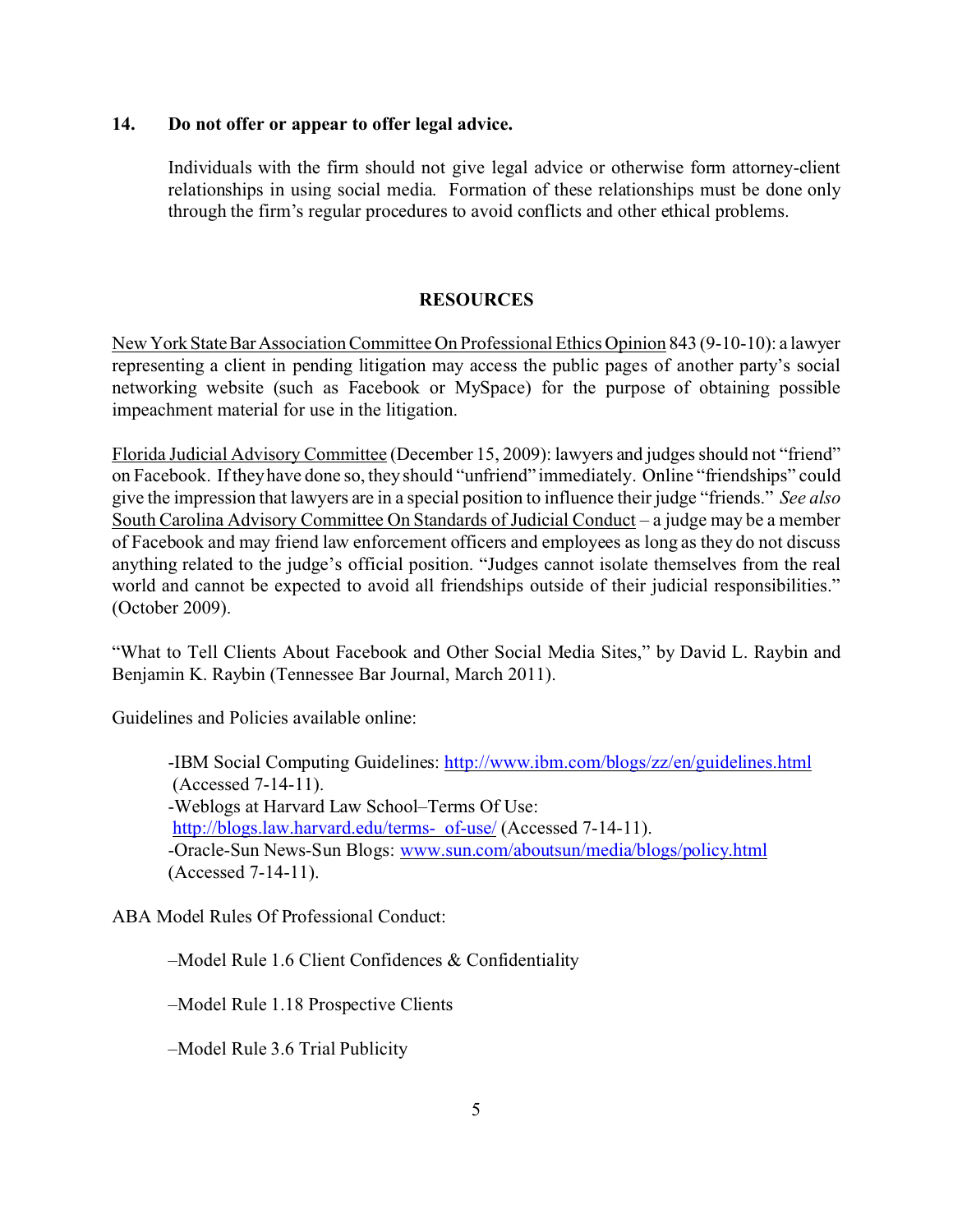#### **14. Do not offer or appear to offer legal advice.**

Individuals with the firm should not give legal advice or otherwise form attorney-client relationships in using social media. Formation of these relationships must be done only through the firm's regular procedures to avoid conflicts and other ethical problems.

## **RESOURCES**

NewYorkStateBarAssociation Committee On Professional Ethics Opinion 843 (9-10-10): a lawyer representing a client in pending litigation may access the public pages of another party's social networking website (such as Facebook or MySpace) for the purpose of obtaining possible impeachment material for use in the litigation.

Florida Judicial Advisory Committee (December 15, 2009): lawyers and judges should not "friend" on Facebook. If they have done so, they should "unfriend" immediately. Online "friendships" could give the impression that lawyers are in a special position to influence their judge "friends." *See also* South Carolina Advisory Committee On Standards of Judicial Conduct – a judge may be a member of Facebook and may friend law enforcement officers and employees as long as they do not discuss anything related to the judge's official position. "Judges cannot isolate themselves from the real world and cannot be expected to avoid all friendships outside of their judicial responsibilities." (October 2009).

"What to Tell Clients About Facebook and Other Social Media Sites," by David L. Raybin and Benjamin K. Raybin (Tennessee Bar Journal, March 2011).

Guidelines and Policies available online:

-IBM Social Computing Guidelines:<http://www.ibm.com/blogs/zz/en/guidelines.html> (Accessed 7-14-11). -Weblogs at Harvard Law School–Terms Of Use: [http://blogs.law.harvard.edu/terms- of-use/](http://blogs.law.harvard.edu/terms-of-use/) (Accessed 7-14-11). -Oracle-Sun News-Sun Blogs: [www.sun.com/aboutsun/media/blogs/policy.html](http://www.sun.com/aboutsun/media/blogs/policy.html) (Accessed 7-14-11).

ABA Model Rules Of Professional Conduct:

–Model Rule 1.6 Client Confidences & Confidentiality

–Model Rule 1.18 Prospective Clients

–Model Rule 3.6 Trial Publicity